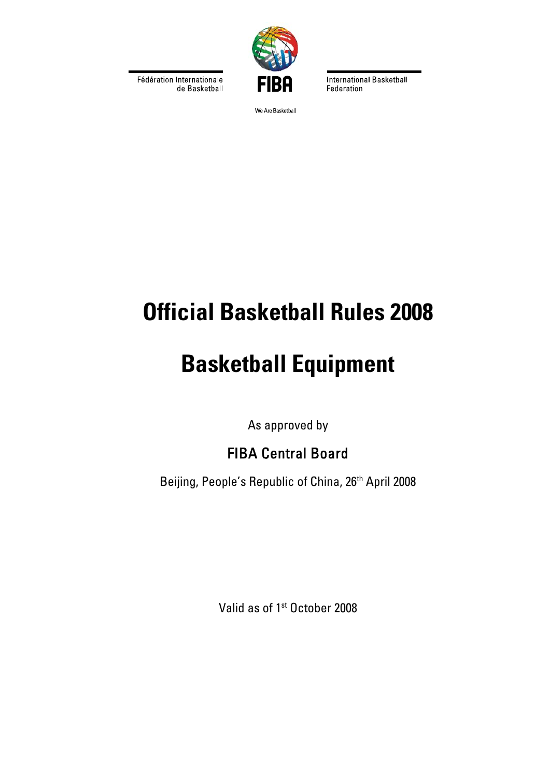

Fédération Internationale de Basketball

**International Basketball** Federation

We Are Basketball

# **Official Basketball Rules 2008**

# **Basketball Equipment**

As approved by

# FIBA Central Board

Beijing, People's Republic of China, 26<sup>th</sup> April 2008

Valid as of 1<sup>st</sup> October 2008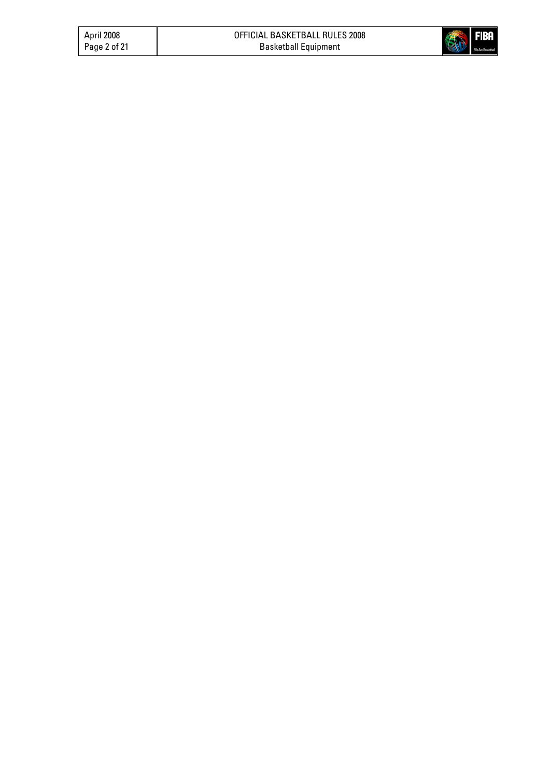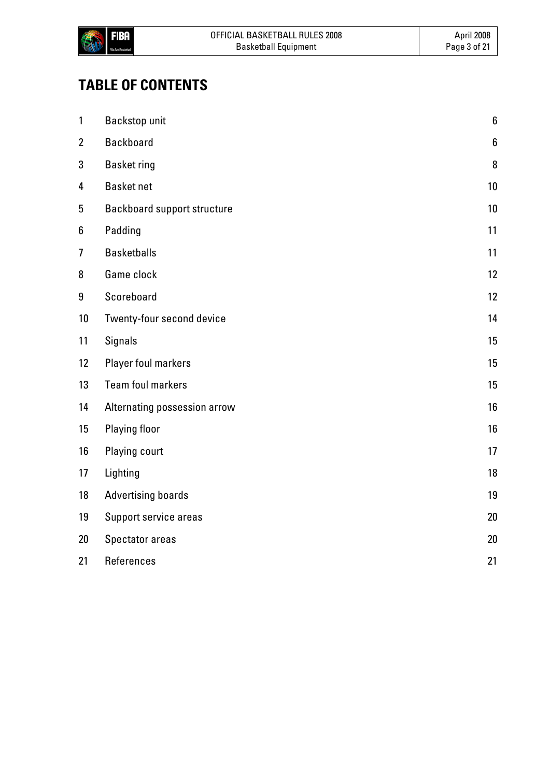

# **TABLE OF CONTENTS**

| $\mathbf{1}$   | Backstop unit                | $\boldsymbol{6}$ |
|----------------|------------------------------|------------------|
| $\overline{2}$ | <b>Backboard</b>             | $6\phantom{1}$   |
| 3              | <b>Basket ring</b>           | 8                |
| 4              | <b>Basket net</b>            | 10               |
| 5              | Backboard support structure  | 10               |
| 6              | Padding                      | 11               |
| 7              | <b>Basketballs</b>           | 11               |
| 8              | Game clock                   | 12               |
| 9              | Scoreboard                   | 12               |
| 10             | Twenty-four second device    | 14               |
| 11             | <b>Signals</b>               | 15               |
| 12             | Player foul markers          | 15               |
| 13             | <b>Team foul markers</b>     | 15               |
| 14             | Alternating possession arrow | 16               |
| 15             | <b>Playing floor</b>         | 16               |
| 16             | Playing court                | 17               |
| 17             | Lighting                     | 18               |
| 18             | <b>Advertising boards</b>    | 19               |
| 19             | Support service areas        | 20               |
| 20             | Spectator areas              | 20               |
| 21             | References                   | 21               |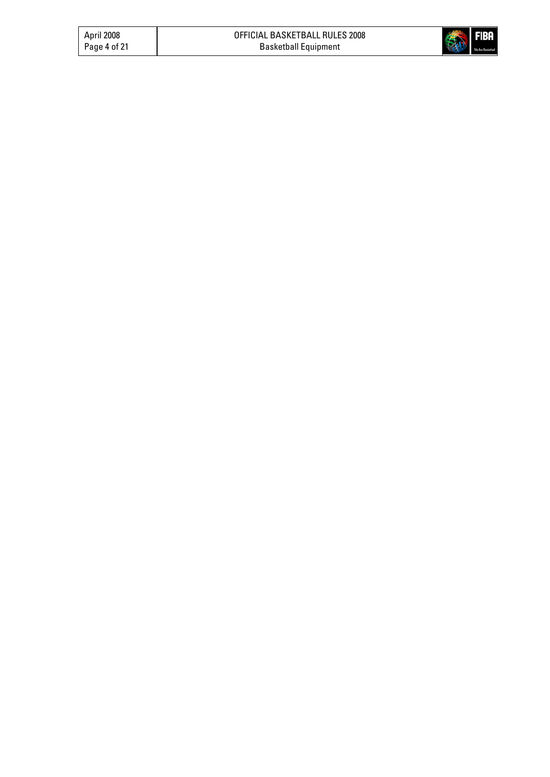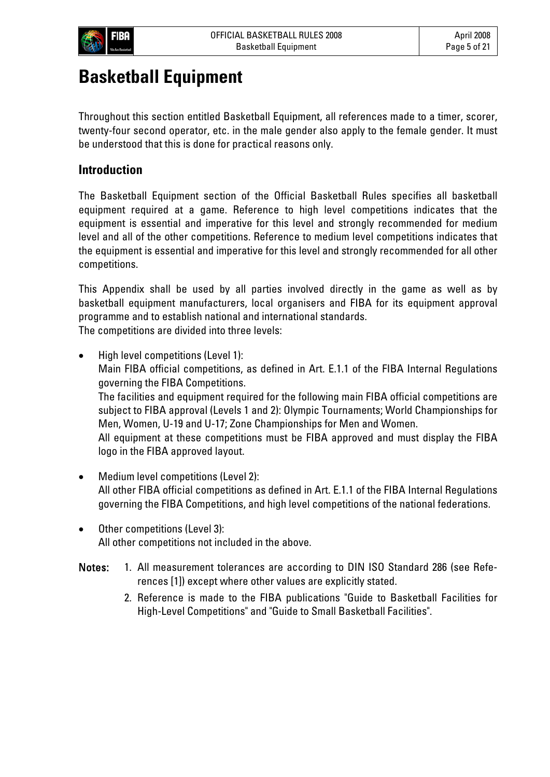

# **Basketball Equipment**

Throughout this section entitled Basketball Equipment, all references made to a timer, scorer, twenty-four second operator, etc. in the male gender also apply to the female gender. It must be understood that this is done for practical reasons only.

## **Introduction**

The Basketball Equipment section of the Official Basketball Rules specifies all basketball equipment required at a game. Reference to high level competitions indicates that the equipment is essential and imperative for this level and strongly recommended for medium level and all of the other competitions. Reference to medium level competitions indicates that the equipment is essential and imperative for this level and strongly recommended for all other competitions.

This Appendix shall be used by all parties involved directly in the game as well as by basketball equipment manufacturers, local organisers and FIBA for its equipment approval programme and to establish national and international standards.

The competitions are divided into three levels:

- High level competitions (Level 1): Main FIBA official competitions, as defined in Art. E.1.1 of the FIBA Internal Regulations governing the FIBA Competitions. The facilities and equipment required for the following main FIBA official competitions are subject to FIBA approval (Levels 1 and 2): Olympic Tournaments; World Championships for Men, Women, U-19 and U-17; Zone Championships for Men and Women. All equipment at these competitions must be FIBA approved and must display the FIBA logo in the FIBA approved layout.
- Medium level competitions (Level 2): All other FIBA official competitions as defined in Art. E.1.1 of the FIBA Internal Regulations governing the FIBA Competitions, and high level competitions of the national federations.
- Other competitions (Level 3): All other competitions not included in the above.
- Notes: 1. All measurement tolerances are according to DIN ISO Standard 286 (see References [\[1\]\)](#page-20-1) except where other values are explicitly stated.
	- 2. Reference is made to the FIBA publications "Guide to Basketball Facilities for High-Level Competitions" and "Guide to Small Basketball Facilities".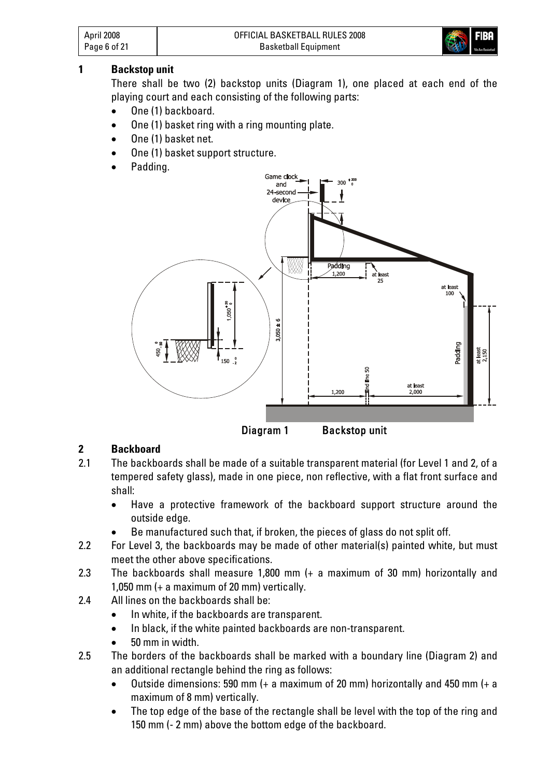

#### <span id="page-5-0"></span>**1 Backstop unit**

There shall be two (2) backstop units ([Diagram 1\)](#page-5-2), one placed at each end of the playing court and each consisting of the following parts:

- One (1) backboard.
- One (1) basket ring with a ring mounting plate.
- One (1) basket net.
- One (1) basket support structure.
- Padding.



#### <span id="page-5-2"></span><span id="page-5-1"></span>**2 Backboard**

- 2.1 The backboards shall be made of a suitable transparent material (for Level 1 and 2, of a tempered safety glass), made in one piece, non reflective, with a flat front surface and shall:
	- Have a protective framework of the backboard support structure around the outside edge.
	- Be manufactured such that, if broken, the pieces of glass do not split off.
- 2.2 For Level 3, the backboards may be made of other material(s) painted white, but must meet the other above specifications.
- 2.3 The backboards shall measure 1,800 mm (+ a maximum of 30 mm) horizontally and 1,050 mm (+ a maximum of 20 mm) vertically.
- 2.4 All lines on the backboards shall be:
	- In white, if the backboards are transparent.
	- In black, if the white painted backboards are non-transparent.
	- 50 mm in width.
- 2.5 The borders of the backboards shall be marked with a boundary line [\(Diagram 2\)](#page-6-0) and an additional rectangle behind the ring as follows:
	- Outside dimensions: 590 mm (+ a maximum of 20 mm) horizontally and 450 mm (+ a maximum of 8 mm) vertically.
	- The top edge of the base of the rectangle shall be level with the top of the ring and 150 mm (- 2 mm) above the bottom edge of the backboard.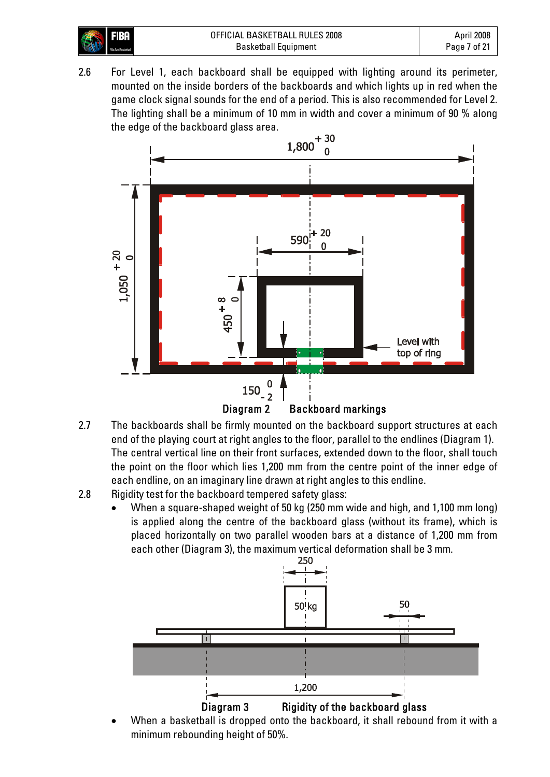

2.6 For Level 1, each backboard shall be equipped with lighting around its perimeter, mounted on the inside borders of the backboards and which lights up in red when the game clock signal sounds for the end of a period. This is also recommended for Level 2. The lighting shall be a minimum of 10 mm in width and cover a minimum of 90 % along the edge of the backboard glass area.



- <span id="page-6-0"></span>2.7 The backboards shall be firmly mounted on the backboard support structures at each end of the playing court at right angles to the floor, parallel to the endlines [\(Diagram 1\)](#page-5-2). The central vertical line on their front surfaces, extended down to the floor, shall touch the point on the floor which lies 1,200 mm from the centre point of the inner edge of each endline, on an imaginary line drawn at right angles to this endline.
- 2.8 Rigidity test for the backboard tempered safety glass:
	- When a square-shaped weight of 50 kg (250 mm wide and high, and 1,100 mm long) is applied along the centre of the backboard glass (without its frame), which is placed horizontally on two parallel wooden bars at a distance of 1,200 mm from each other ([Diagram 3](#page-6-1)), the maximum vertical deformation shall be 3 mm.



- Diagram 3 Rigidity of the backboard glass
- <span id="page-6-1"></span>• When a basketball is dropped onto the backboard, it shall rebound from it with a minimum rebounding height of 50%.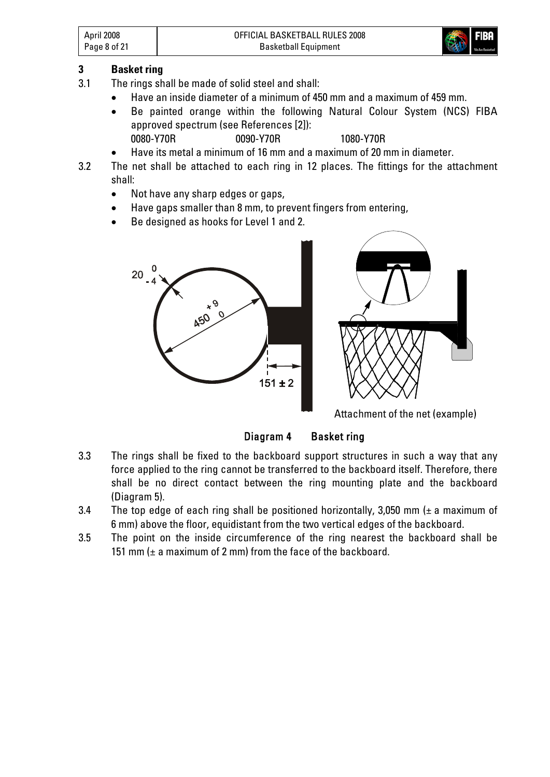

#### <span id="page-7-0"></span>**3 Basket ring**

- 3.1 The rings shall be made of solid steel and shall:
	- Have an inside diameter of a minimum of 450 mm and a maximum of 459 mm.
	- Be painted orange within the following Natural Colour System (NCS) FIBA approved spectrum (see References [\[2\]](#page-20-2)): 0080-Y70R 0090-Y70R 1080-Y70R
	- Have its metal a minimum of 16 mm and a maximum of 20 mm in diameter.
- 3.2 The net shall be attached to each ring in 12 places. The fittings for the attachment shall:
	- Not have any sharp edges or gaps,
	- Have gaps smaller than 8 mm, to prevent fingers from entering,
	- Be designed as hooks for Level 1 and 2.





Attachment of the net (example)



- 3.3 The rings shall be fixed to the backboard support structures in such a way that any force applied to the ring cannot be transferred to the backboard itself. Therefore, there shall be no direct contact between the ring mounting plate and the backboard ([Diagram 5](#page-8-0)).
- 3.4 The top edge of each ring shall be positioned horizontally, 3.050 mm  $(\pm a$  maximum of 6 mm) above the floor, equidistant from the two vertical edges of the backboard.
- 3.5 The point on the inside circumference of the ring nearest the backboard shall be 151 mm  $(\pm a$  maximum of 2 mm) from the face of the backboard.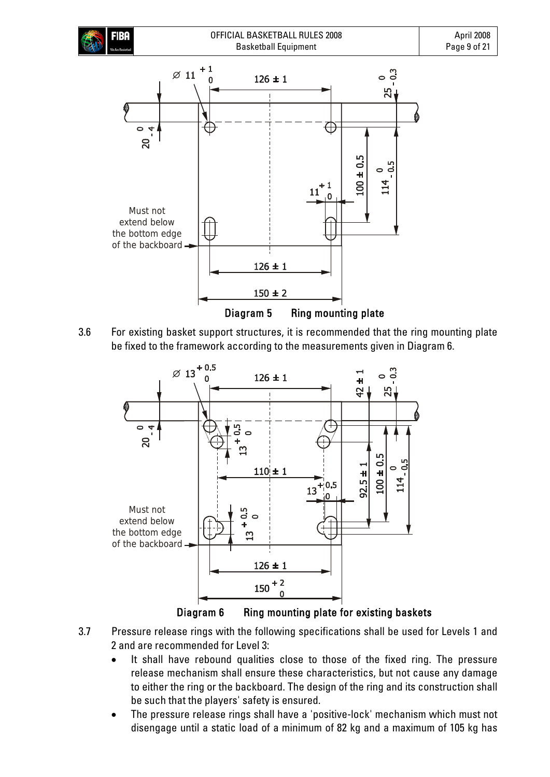



<span id="page-8-0"></span>3.6 For existing basket support structures, it is recommended that the ring mounting plate be fixed to the framework according to the measurements given in [Diagram 6.](#page-8-1)





- <span id="page-8-1"></span>3.7 Pressure release rings with the following specifications shall be used for Levels 1 and 2 and are recommended for Level 3:
	- It shall have rebound qualities close to those of the fixed ring. The pressure release mechanism shall ensure these characteristics, but not cause any damage to either the ring or the backboard. The design of the ring and its construction shall be such that the players' safety is ensured.
	- The pressure release rings shall have a 'positive-lock' mechanism which must not disengage until a static load of a minimum of 82 kg and a maximum of 105 kg has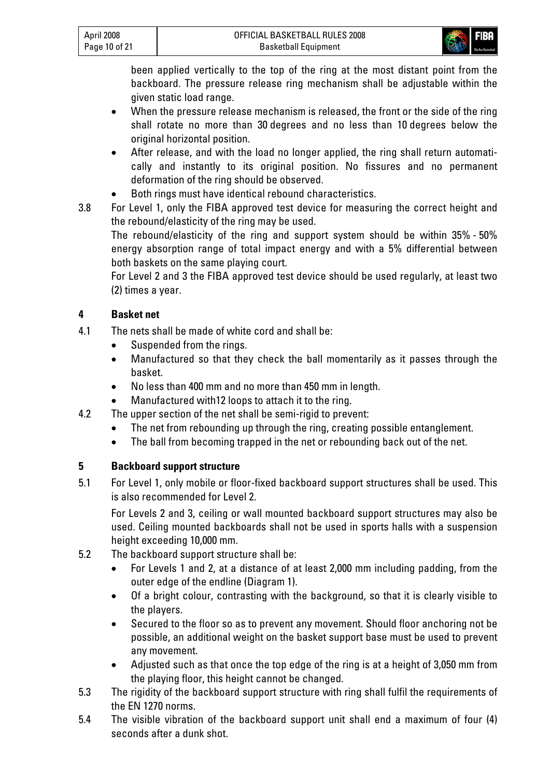

been applied vertically to the top of the ring at the most distant point from the backboard. The pressure release ring mechanism shall be adjustable within the given static load range.

- When the pressure release mechanism is released, the front or the side of the ring shall rotate no more than 30 degrees and no less than 10 degrees below the original horizontal position.
- After release, and with the load no longer applied, the ring shall return automatically and instantly to its original position. No fissures and no permanent deformation of the ring should be observed.
- Both rings must have identical rebound characteristics.
- 3.8 For Level 1, only the FIBA approved test device for measuring the correct height and the rebound/elasticity of the ring may be used.

The rebound/elasticity of the ring and support system should be within 35% - 50% energy absorption range of total impact energy and with a 5% differential between both baskets on the same playing court.

For Level 2 and 3 the FIBA approved test device should be used regularly, at least two (2) times a year.

#### <span id="page-9-0"></span>**4 Basket net**

- 4.1 The nets shall be made of white cord and shall be:
	- Suspended from the rings.
	- Manufactured so that they check the ball momentarily as it passes through the basket.
	- No less than 400 mm and no more than 450 mm in length.
	- Manufactured with12 loops to attach it to the ring.
- 4.2 The upper section of the net shall be semi-rigid to prevent:
	- The net from rebounding up through the ring, creating possible entanglement.
	- The ball from becoming trapped in the net or rebounding back out of the net.

## <span id="page-9-1"></span>**5 Backboard support structure**

5.1 For Level 1, only mobile or floor-fixed backboard support structures shall be used. This is also recommended for Level 2.

For Levels 2 and 3, ceiling or wall mounted backboard support structures may also be used. Ceiling mounted backboards shall not be used in sports halls with a suspension height exceeding 10,000 mm.

- 5.2 The backboard support structure shall be:
	- For Levels 1 and 2, at a distance of at least 2,000 mm including padding, from the outer edge of the endline ([Diagram 1](#page-5-2)).
	- Of a bright colour, contrasting with the background, so that it is clearly visible to the players.
	- Secured to the floor so as to prevent any movement. Should floor anchoring not be possible, an additional weight on the basket support base must be used to prevent any movement.
	- Adjusted such as that once the top edge of the ring is at a height of 3,050 mm from the playing floor, this height cannot be changed.
- 5.3 The rigidity of the backboard support structure with ring shall fulfil the requirements of the EN 1270 norms.
- 5.4 The visible vibration of the backboard support unit shall end a maximum of four (4) seconds after a dunk shot.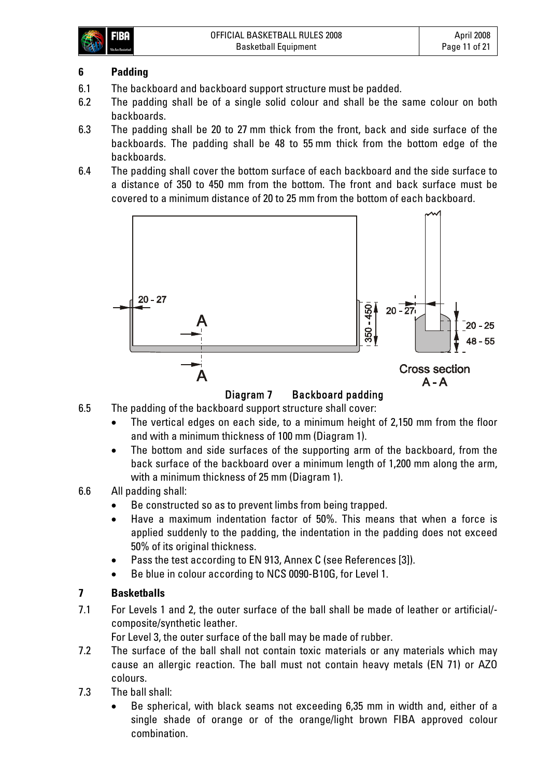

#### <span id="page-10-0"></span>**6 Padding**

- 6.1 The backboard and backboard support structure must be padded.
- 6.2 The padding shall be of a single solid colour and shall be the same colour on both backboards.
- 6.3 The padding shall be 20 to 27 mm thick from the front, back and side surface of the backboards. The padding shall be 48 to 55 mm thick from the bottom edge of the backboards.
- 6.4 The padding shall cover the bottom surface of each backboard and the side surface to a distance of 350 to 450 mm from the bottom. The front and back surface must be covered to a minimum distance of 20 to 25 mm from the bottom of each backboard.



- 6.5 The padding of the backboard support structure shall cover:
	- The vertical edges on each side, to a minimum height of 2,150 mm from the floor and with a minimum thickness of 100 mm ([Diagram 1](#page-5-2)).
	- The bottom and side surfaces of the supporting arm of the backboard, from the back surface of the backboard over a minimum length of 1,200 mm along the arm, with a minimum thickness of 25 mm ([Diagram 1](#page-5-2)).
- 6.6 All padding shall:
	- Be constructed so as to prevent limbs from being trapped.
	- Have a maximum indentation factor of 50%. This means that when a force is applied suddenly to the padding, the indentation in the padding does not exceed 50% of its original thickness.
	- Pass the test according to EN 913, Annex C (see References [\[3\]\)](#page-20-3).
	- Be blue in colour according to NCS 0090-B10G, for Level 1.

# <span id="page-10-1"></span>**7 Basketballs**

7.1 For Levels 1 and 2, the outer surface of the ball shall be made of leather or artificial/ composite/synthetic leather.

For Level 3, the outer surface of the ball may be made of rubber.

- 7.2 The surface of the ball shall not contain toxic materials or any materials which may cause an allergic reaction. The ball must not contain heavy metals (EN 71) or AZO colours.
- 7.3 The ball shall:
	- Be spherical, with black seams not exceeding 6,35 mm in width and, either of a single shade of orange or of the orange/light brown FIBA approved colour combination.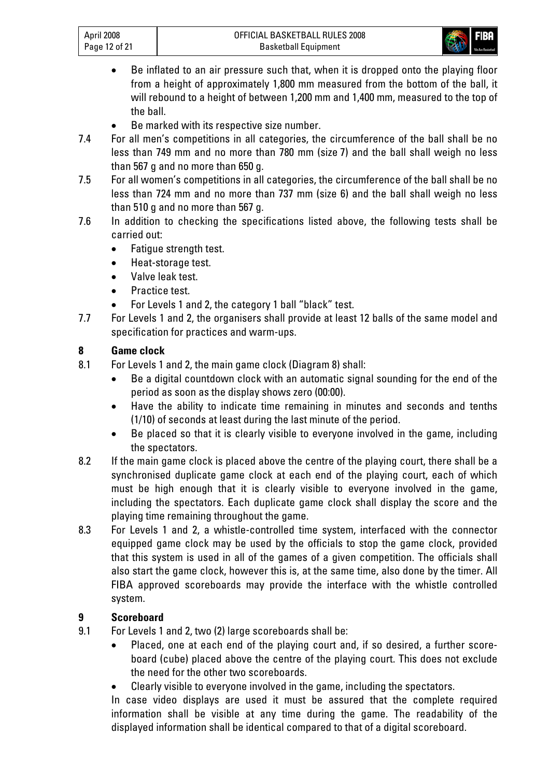

- Be inflated to an air pressure such that, when it is dropped onto the playing floor from a height of approximately 1,800 mm measured from the bottom of the ball, it will rebound to a height of between 1,200 mm and 1,400 mm, measured to the top of the ball.
- Be marked with its respective size number.
- 7.4 For all men's competitions in all categories, the circumference of the ball shall be no less than 749 mm and no more than 780 mm (size 7) and the ball shall weigh no less than 567 g and no more than 650 g.
- 7.5 For all women's competitions in all categories, the circumference of the ball shall be no less than 724 mm and no more than 737 mm (size 6) and the ball shall weigh no less than 510 g and no more than 567 g.
- 7.6 In addition to checking the specifications listed above, the following tests shall be carried out:
	- Fatigue strength test.
	- Heat-storage test.
	- Valve leak test.
	- Practice test.
	- For Levels 1 and 2, the category 1 ball "black" test.
- 7.7 For Levels 1 and 2, the organisers shall provide at least 12 balls of the same model and specification for practices and warm-ups.

### <span id="page-11-0"></span>**8 Game clock**

- 8.1 For Levels 1 and 2, the main game clock [\(Diagram 8\)](#page-13-1) shall:
	- Be a digital countdown clock with an automatic signal sounding for the end of the period as soon as the display shows zero (00:00).
	- Have the ability to indicate time remaining in minutes and seconds and tenths (1/10) of seconds at least during the last minute of the period.
	- Be placed so that it is clearly visible to everyone involved in the game, including the spectators.
- 8.2 If the main game clock is placed above the centre of the playing court, there shall be a synchronised duplicate game clock at each end of the playing court, each of which must be high enough that it is clearly visible to everyone involved in the game, including the spectators. Each duplicate game clock shall display the score and the playing time remaining throughout the game.
- 8.3 For Levels 1 and 2, a whistle-controlled time system, interfaced with the connector equipped game clock may be used by the officials to stop the game clock, provided that this system is used in all of the games of a given competition. The officials shall also start the game clock, however this is, at the same time, also done by the timer. All FIBA approved scoreboards may provide the interface with the whistle controlled system.

## <span id="page-11-1"></span>**9 Scoreboard**

- 9.1 For Levels 1 and 2, two (2) large scoreboards shall be:
	- Placed, one at each end of the playing court and, if so desired, a further scoreboard (cube) placed above the centre of the playing court. This does not exclude the need for the other two scoreboards.
	- Clearly visible to everyone involved in the game, including the spectators.

In case video displays are used it must be assured that the complete required information shall be visible at any time during the game. The readability of the displayed information shall be identical compared to that of a digital scoreboard.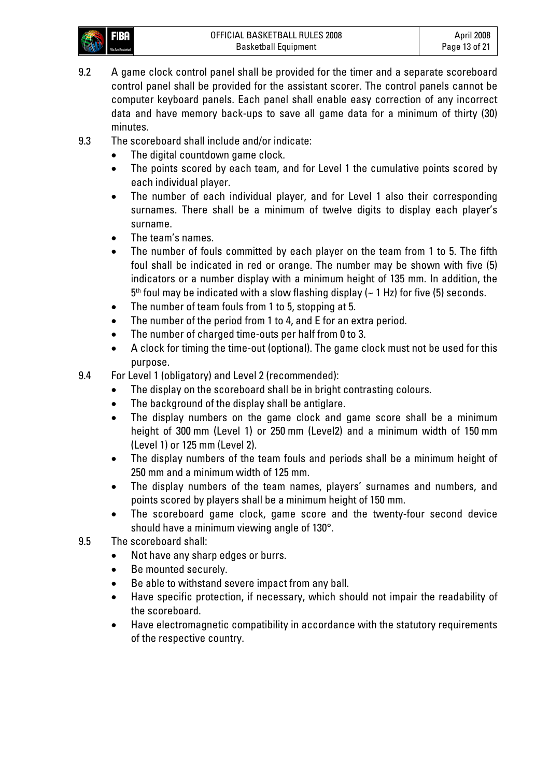

- 9.2 A game clock control panel shall be provided for the timer and a separate scoreboard control panel shall be provided for the assistant scorer. The control panels cannot be computer keyboard panels. Each panel shall enable easy correction of any incorrect data and have memory back-ups to save all game data for a minimum of thirty (30) minutes.
- 9.3 The scoreboard shall include and/or indicate:
	- The digital countdown game clock.
	- The points scored by each team, and for Level 1 the cumulative points scored by each individual player.
	- The number of each individual player, and for Level 1 also their corresponding surnames. There shall be a minimum of twelve digits to display each player's surname.
	- The team's names.
	- The number of fouls committed by each player on the team from 1 to 5. The fifth foul shall be indicated in red or orange. The number may be shown with five (5) indicators or a number display with a minimum height of 135 mm. In addition, the  $5<sup>th</sup>$  foul may be indicated with a slow flashing display ( $\sim$  1 Hz) for five (5) seconds.
	- The number of team fouls from 1 to 5, stopping at 5.
	- The number of the period from 1 to 4, and E for an extra period.
	- The number of charged time-outs per half from 0 to 3.
	- A clock for timing the time-out (optional). The game clock must not be used for this purpose.
- 9.4 For Level 1 (obligatory) and Level 2 (recommended):
	- The display on the scoreboard shall be in bright contrasting colours.
	- The background of the display shall be antiglare.
	- The display numbers on the game clock and game score shall be a minimum height of 300 mm (Level 1) or 250 mm (Level2) and a minimum width of 150 mm (Level 1) or 125 mm (Level 2).
	- The display numbers of the team fouls and periods shall be a minimum height of 250 mm and a minimum width of 125 mm.
	- The display numbers of the team names, players' surnames and numbers, and points scored by players shall be a minimum height of 150 mm.
	- The scoreboard game clock, game score and the twenty-four second device should have a minimum viewing angle of 130°.
- 9.5 The scoreboard shall:
	- Not have any sharp edges or burrs.
	- Be mounted securely.
	- Be able to withstand severe impact from any ball.
	- Have specific protection, if necessary, which should not impair the readability of the scoreboard.
	- Have electromagnetic compatibility in accordance with the statutory requirements of the respective country.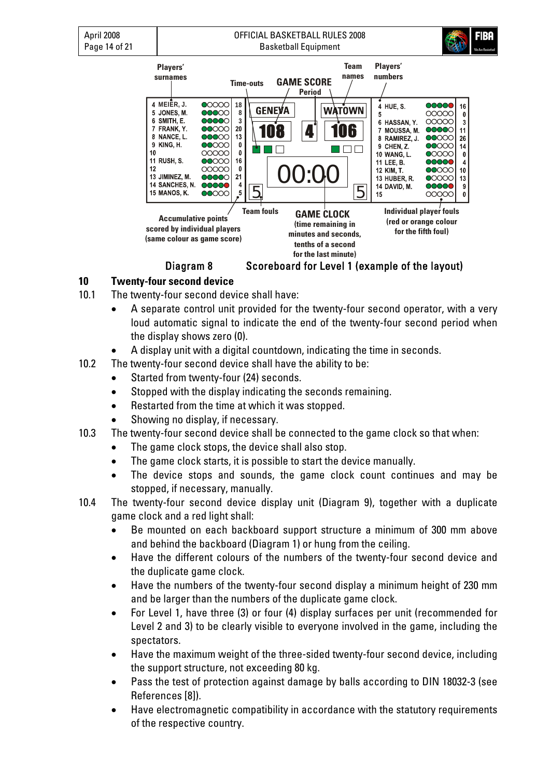#### OFFICIAL BASKETBALL RULES 2008 Basketball Equipment





#### Diagram 8 Scoreboard for Level 1 (example of the layout)

#### <span id="page-13-1"></span><span id="page-13-0"></span>**10 Twenty-four second device**

- 10.1 The twenty-four second device shall have:
	- A separate control unit provided for the twenty-four second operator, with a very loud automatic signal to indicate the end of the twenty-four second period when the display shows zero (0).
	- A display unit with a digital countdown, indicating the time in seconds.
- 10.2 The twenty-four second device shall have the ability to be:
	- Started from twenty-four (24) seconds.
	- Stopped with the display indicating the seconds remaining.
	- Restarted from the time at which it was stopped.
	- Showing no display, if necessary.
- 10.3 The twenty-four second device shall be connected to the game clock so that when:
	- The game clock stops, the device shall also stop.
	- The game clock starts, it is possible to start the device manually.
	- The device stops and sounds, the game clock count continues and may be stopped, if necessary, manually.
- 10.4 The twenty-four second device display unit ([Diagram 9\)](#page-14-3), together with a duplicate game clock and a red light shall:
	- Be mounted on each backboard support structure a minimum of 300 mm above and behind the backboard [\(Diagram 1\)](#page-5-2) or hung from the ceiling.
	- Have the different colours of the numbers of the twenty-four second device and the duplicate game clock.
	- Have the numbers of the twenty-four second display a minimum height of 230 mm and be larger than the numbers of the duplicate game clock.
	- For Level 1, have three (3) or four (4) display surfaces per unit (recommended for Level 2 and 3) to be clearly visible to everyone involved in the game, including the spectators.
	- Have the maximum weight of the three-sided twenty-four second device, including the support structure, not exceeding 80 kg.
	- Pass the test of protection against damage by balls according to DIN 18032-3 (see References [\[8\]\)](#page-20-4).
	- Have electromagnetic compatibility in accordance with the statutory requirements of the respective country.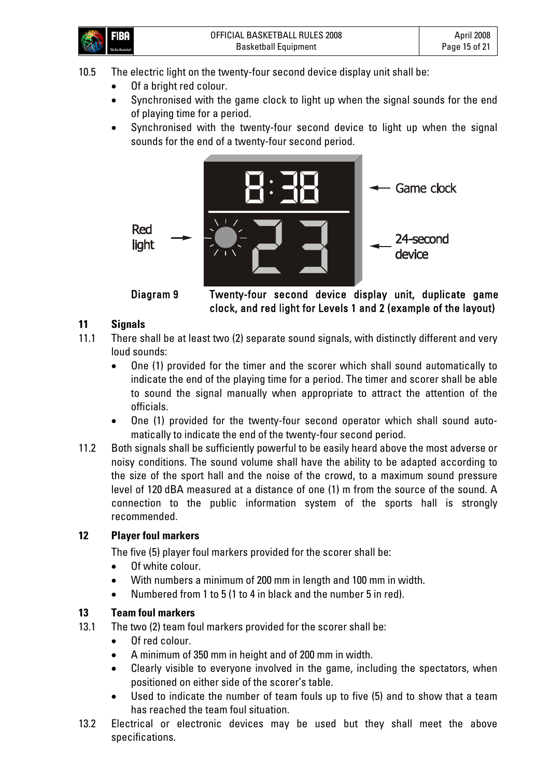

- 10.5 The electric light on the twenty-four second device display unit shall be:
	- Of a bright red colour.
	- Synchronised with the game clock to light up when the signal sounds for the end of playing time for a period.
	- Synchronised with the twenty-four second device to light up when the signal sounds for the end of a twenty-four second period.



Diagram 9 Twenty-four second device display unit, duplicate game clock, and red light for Levels 1 and 2 (example of the layout)

#### <span id="page-14-3"></span><span id="page-14-0"></span>**11 Signals**

- 11.1 There shall be at least two (2) separate sound signals, with distinctly different and very loud sounds:
	- One (1) provided for the timer and the scorer which shall sound automatically to indicate the end of the playing time for a period. The timer and scorer shall be able to sound the signal manually when appropriate to attract the attention of the officials.
	- One (1) provided for the twenty-four second operator which shall sound automatically to indicate the end of the twenty-four second period.
- 11.2 Both signals shall be sufficiently powerful to be easily heard above the most adverse or noisy conditions. The sound volume shall have the ability to be adapted according to the size of the sport hall and the noise of the crowd, to a maximum sound pressure level of 120 dBA measured at a distance of one (1) m from the source of the sound. A connection to the public information system of the sports hall is strongly recommended.

#### <span id="page-14-1"></span>**12 Player foul markers**

The five (5) player foul markers provided for the scorer shall be:

- Of white colour.
- With numbers a minimum of 200 mm in length and 100 mm in width.
- Numbered from 1 to 5 (1 to 4 in black and the number 5 in red).

#### <span id="page-14-2"></span>**13 Team foul markers**

- 13.1 The two (2) team foul markers provided for the scorer shall be:
	- Of red colour.
	- A minimum of 350 mm in height and of 200 mm in width.
	- Clearly visible to everyone involved in the game, including the spectators, when positioned on either side of the scorer's table.
	- Used to indicate the number of team fouls up to five (5) and to show that a team has reached the team foul situation.
- 13.2 Electrical or electronic devices may be used but they shall meet the above specifications.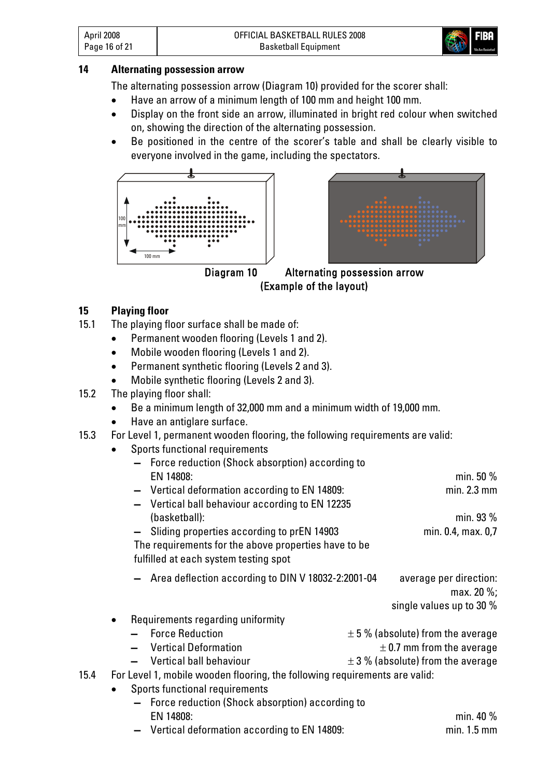

#### <span id="page-15-0"></span>**14 Alternating possession arrow**

April 2008 Page 16 of 21

The alternating possession arrow [\(Diagram 10](#page-15-2)) provided for the scorer shall:

- Have an arrow of a minimum length of 100 mm and height 100 mm.
- Display on the front side an arrow, illuminated in bright red colour when switched on, showing the direction of the alternating possession.
- Be positioned in the centre of the scorer's table and shall be clearly visible to everyone involved in the game, including the spectators.





Diagram 10 Alternating possession arrow (Example of the layout)

#### <span id="page-15-2"></span><span id="page-15-1"></span>**15 Playing floor**

- 15.1 The playing floor surface shall be made of:
	- Permanent wooden flooring (Levels 1 and 2).
	- Mobile wooden flooring (Levels 1 and 2).
	- Permanent synthetic flooring (Levels 2 and 3).
	- Mobile synthetic flooring (Levels 2 and 3).
- 15.2 The playing floor shall:
	- Be a minimum length of 32,000 mm and a minimum width of 19,000 mm.
	- Have an antiglare surface.
- 15.3 For Level 1, permanent wooden flooring, the following requirements are valid:
	- Sports functional requirements

| - Force reduction (Shock absorption) according to                                             |                                       |
|-----------------------------------------------------------------------------------------------|---------------------------------------|
| EN 14808:                                                                                     | min. 50 %                             |
| - Vertical deformation according to EN 14809:                                                 | min. 2.3 mm                           |
| - Vertical ball behaviour according to EN 12235                                               |                                       |
| (basketball):                                                                                 | min. 93 %                             |
| - Sliding properties according to prEN 14903                                                  | min. 0.4, max. 0,7                    |
| The requirements for the above properties have to be<br>fulfilled at each system testing spot |                                       |
| - Area deflection according to DIN V 18032-2:2001-04                                          | average per direction:<br>max. 20 %;  |
|                                                                                               | single values up to 30 %              |
| Requirements regarding uniformity<br>٠                                                        |                                       |
| <b>Force Reduction</b>                                                                        | $\pm$ 5 % (absolute) from the average |
| <b>Vertical Deformation</b>                                                                   | $\pm$ 0.7 mm from the average         |
| Vertical ball behaviour                                                                       | $\pm$ 3 % (absolute) from the average |
| 15.4<br>For Level 1, mobile wooden flooring, the following requirements are valid:            |                                       |
| Sports functional requirements                                                                |                                       |
| - Force reduction (Shock absorption) according to                                             |                                       |
| EN 14808:                                                                                     | min. $40\%$                           |

▬ Vertical deformation according to EN 14809: min. 1.5 mm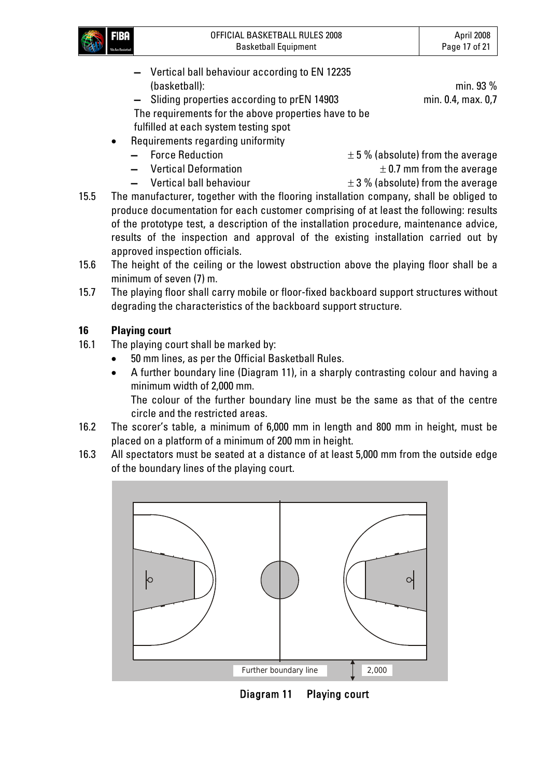▬ Vertical ball behaviour according to EN 12235 (basketball): min. 93 % ▬ Sliding properties according to prEN 14903 min. 0.4, max. 0,7

The requirements for the above properties have to be fulfilled at each system testing spot

- Requirements regarding uniformity
	- - Force Reduction  $± 5 %$  (absolute) from the average
		- Vertical Deformation  $± 0.7$  mm from the average
		- Vertical ball behaviour  $± 3 %$  (absolute) from the average
- 15.5 The manufacturer, together with the flooring installation company, shall be obliged to produce documentation for each customer comprising of at least the following: results of the prototype test, a description of the installation procedure, maintenance advice, results of the inspection and approval of the existing installation carried out by approved inspection officials.
- 15.6 The height of the ceiling or the lowest obstruction above the playing floor shall be a minimum of seven (7) m.
- 15.7 The playing floor shall carry mobile or floor-fixed backboard support structures without degrading the characteristics of the backboard support structure.

## <span id="page-16-0"></span>**16 Playing court**

- 16.1 The playing court shall be marked by:
	- 50 mm lines, as per the Official Basketball Rules.
	- A further boundary line ([Diagram 11](#page-16-1)), in a sharply contrasting colour and having a minimum width of 2,000 mm.

The colour of the further boundary line must be the same as that of the centre circle and the restricted areas.

- 16.2 The scorer's table, a minimum of 6,000 mm in length and 800 mm in height, must be placed on a platform of a minimum of 200 mm in height.
- 16.3 All spectators must be seated at a distance of at least 5,000 mm from the outside edge of the boundary lines of the playing court.

<span id="page-16-1"></span>

Diagram 11 Playing court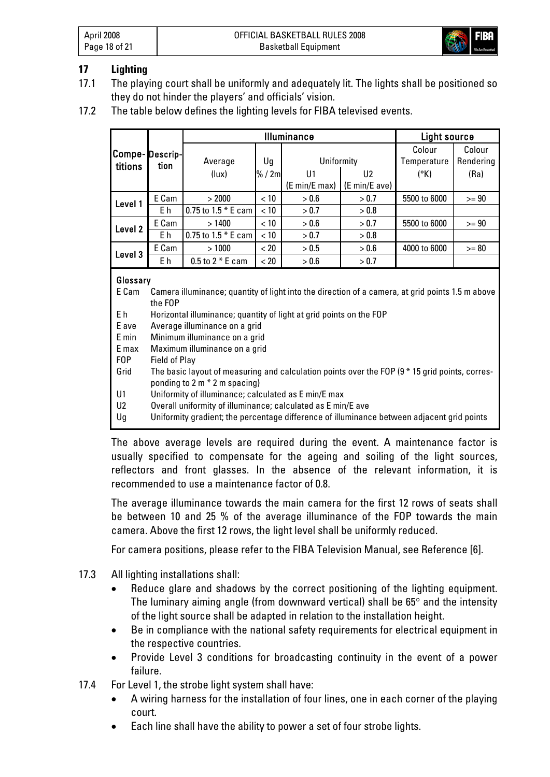

#### <span id="page-17-0"></span>**17 Lighting**

- 17.1 The playing court shall be uniformly and adequately lit. The lights shall be positioned so they do not hinder the players' and officials' vision.
- 17.2 The table below defines the lighting levels for FIBA televised events.

|                    | Compe-Descrip-<br>tion | <b>Illuminance</b>    |        |               |               | Light source |           |
|--------------------|------------------------|-----------------------|--------|---------------|---------------|--------------|-----------|
|                    |                        |                       |        |               |               | Colour       | Colour    |
| titions            |                        | Average               | Ug     | Uniformity    |               | Temperature  | Rendering |
|                    |                        | (lux)                 | % / 2m | U1            | U2            | (°K)         | (Ra)      |
|                    |                        |                       |        | (E min/E max) | (E min/E ave) |              |           |
| Level 1            | E Cam                  | > 2000                | < 10   | > 0.6         | > 0.7         | 5500 to 6000 | $>= 90$   |
|                    | E h                    | 0.75 to 1.5 * E cam   | < 10   | > 0.7         | > 0.8         |              |           |
| Level <sub>2</sub> | E Cam                  | >1400                 | < 10   | > 0.6         | > 0.7         | 5500 to 6000 | $>= 90$   |
|                    | E h                    | 0.75 to $1.5 * E$ cam | < 10   | > 0.7         | > 0.8         |              |           |
| Level 3            | E Cam                  | >1000                 | < 20   | > 0.5         | > 0.6         | 4000 to 6000 | $>= 80$   |
|                    | Eh                     | $0.5$ to 2 $*$ E cam  | < 20   | > 0.6         | > 0.7         |              |           |
|                    |                        |                       |        |               |               |              |           |

#### Glossary

- E Cam Camera illuminance; quantity of light into the direction of a camera, at grid points 1.5 m above the FOP
- E h Horizontal illuminance; quantity of light at grid points on the FOP
- E ave Average illuminance on a grid
- E min Minimum illuminance on a grid
- E max Maximum illuminance on a grid
- FOP Field of Play
- Grid The basic layout of measuring and calculation points over the FOP (9<sup>\*</sup> 15 grid points, corresponding to 2 m \* 2 m spacing)
- U1 Uniformity of illuminance; calculated as E min/E max
- U2 Overall uniformity of illuminance; calculated as E min/E ave
- Ug Uniformity gradient; the percentage difference of illuminance between adjacent grid points

The above average levels are required during the event. A maintenance factor is usually specified to compensate for the ageing and soiling of the light sources, reflectors and front glasses. In the absence of the relevant information, it is recommended to use a maintenance factor of 0.8.

The average illuminance towards the main camera for the first 12 rows of seats shall be between 10 and 25 % of the average illuminance of the FOP towards the main camera. Above the first 12 rows, the light level shall be uniformly reduced.

For camera positions, please refer to the FIBA Television Manual, see Reference [6].

- 17.3 All lighting installations shall:
	- Reduce glare and shadows by the correct positioning of the lighting equipment. The luminary aiming angle (from downward vertical) shall be 65° and the intensity of the light source shall be adapted in relation to the installation height.
	- Be in compliance with the national safety requirements for electrical equipment in the respective countries.
	- Provide Level 3 conditions for broadcasting continuity in the event of a power failure.
- 17.4 For Level 1, the strobe light system shall have:
	- A wiring harness for the installation of four lines, one in each corner of the playing court.
	- Each line shall have the ability to power a set of four strobe lights.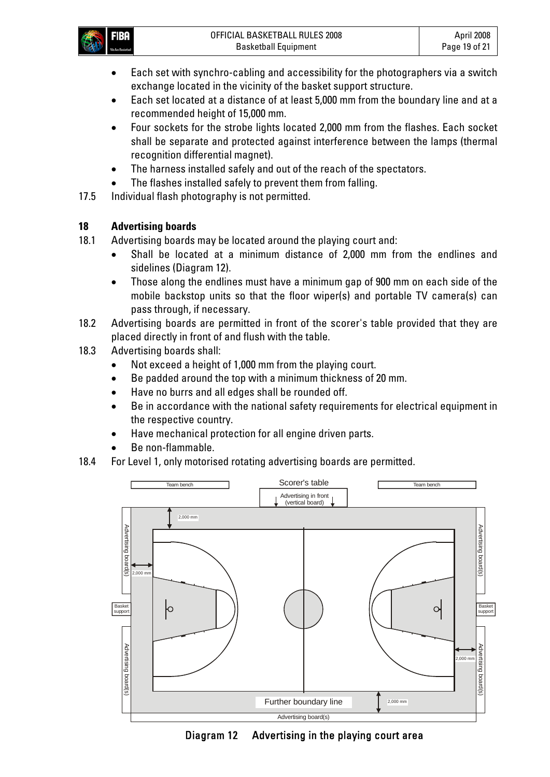- Each set with synchro-cabling and accessibility for the photographers via a switch exchange located in the vicinity of the basket support structure.
- Each set located at a distance of at least 5,000 mm from the boundary line and at a recommended height of 15,000 mm.
- Four sockets for the strobe lights located 2,000 mm from the flashes. Each socket shall be separate and protected against interference between the lamps (thermal recognition differential magnet).
- The harness installed safely and out of the reach of the spectators.
- The flashes installed safely to prevent them from falling.
- 17.5 Individual flash photography is not permitted.

#### <span id="page-18-0"></span>**18 Advertising boards**

- 18.1 Advertising boards may be located around the playing court and:
	- Shall be located at a minimum distance of 2,000 mm from the endlines and sidelines [\(Diagram 12](#page-18-1)).
	- Those along the endlines must have a minimum gap of 900 mm on each side of the mobile backstop units so that the floor wiper(s) and portable TV camera(s) can pass through, if necessary.
- 18.2 Advertising boards are permitted in front of the scorer's table provided that they are placed directly in front of and flush with the table.
- 18.3 Advertising boards shall:
	- Not exceed a height of 1,000 mm from the playing court.
	- Be padded around the top with a minimum thickness of 20 mm.
	- Have no burrs and all edges shall be rounded off.
	- Be in accordance with the national safety requirements for electrical equipment in the respective country.
	- Have mechanical protection for all engine driven parts.
	- Be non-flammable.
- 18.4 For Level 1, only motorised rotating advertising boards are permitted.



<span id="page-18-1"></span>Diagram 12 Advertising in the playing court area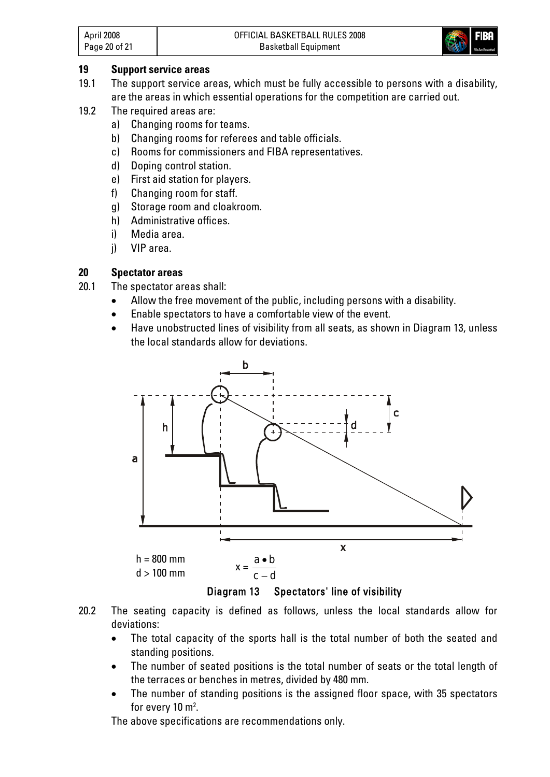#### <span id="page-19-0"></span>**19 Support service areas**

- 19.1 The support service areas, which must be fully accessible to persons with a disability, are the areas in which essential operations for the competition are carried out.
- 19.2 The required areas are:
	- a) Changing rooms for teams.
	- b) Changing rooms for referees and table officials.
	- c) Rooms for commissioners and FIBA representatives.
	- d) Doping control station.
	- e) First aid station for players.
	- f) Changing room for staff.
	- g) Storage room and cloakroom.
	- h) Administrative offices.
	- i) Media area.
	- j) VIP area.

#### <span id="page-19-1"></span>**20 Spectator areas**

- 20.1 The spectator areas shall:
	- Allow the free movement of the public, including persons with a disability.
	- Enable spectators to have a comfortable view of the event.
	- Have unobstructed lines of visibility from all seats, as shown in [Diagram 13,](#page-19-2) unless the local standards allow for deviations.



Diagram 13 Spectators' line of visibility

- <span id="page-19-2"></span>20.2 The seating capacity is defined as follows, unless the local standards allow for deviations:
	- The total capacity of the sports hall is the total number of both the seated and standing positions.
	- The number of seated positions is the total number of seats or the total length of the terraces or benches in metres, divided by 480 mm.
	- The number of standing positions is the assigned floor space, with 35 spectators for every 10 m<sup>2</sup>.

The above specifications are recommendations only.